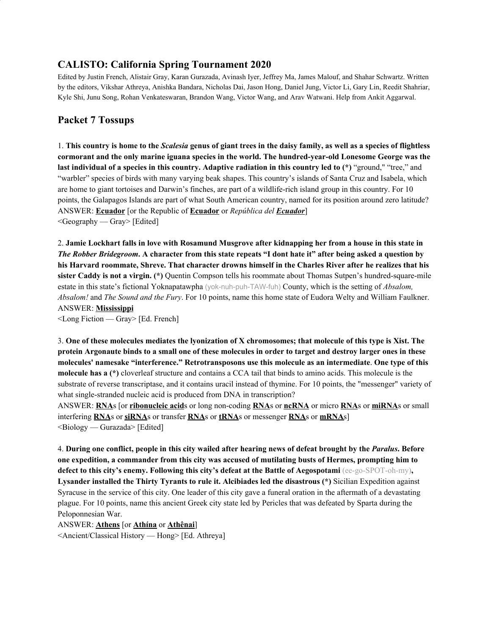# **CALISTO: California Spring Tournament 2020**

Edited by Justin French, Alistair Gray, Karan Gurazada, Avinash Iyer, Jeffrey Ma, James Malouf, and Shahar Schwartz. Written by the editors, Vikshar Athreya, Anishka Bandara, Nicholas Dai, Jason Hong, Daniel Jung, Victor Li, Gary Lin, Reedit Shahriar, Kyle Shi, Junu Song, Rohan Venkateswaran, Brandon Wang, Victor Wang, and Arav Watwani. Help from Ankit Aggarwal.

# **Packet 7 Tossups**

1. This country is home to the Scalesia genus of giant trees in the daisy family, as well as a species of flightless **cormorant and the only marine iguana species in the world. The hundred-year-old Lonesome George was the** last individual of a species in this country. Adaptive radiation in this country led to (\*) "ground," "tree," and "warbler" species of birds with many varying beak shapes. This country's islands of Santa Cruz and Isabela, which are home to giant tortoises and Darwin's finches, are part of a wildlife-rich island group in this country. For 10 points, the Galapagos Islands are part of what South American country, named for its position around zero latitude? ANSWER: **Ecuador** [or the Republic of **Ecuador** or *República del Ecuador*] <Geography — Gray> [Edited]

2. Jamie Lockhart falls in love with Rosamund Musgrove after kidnapping her from a house in this state in *The Robber Bridegroom.* A character from this state repeats "I dont hate it" after being asked a question by his Harvard roommate, Shreve. That character drowns himself in the Charles River after he realizes that his **sister Caddy is not a virgin. (\*)** Quentin Compson tells his roommate about Thomas Sutpen's hundred-square-mile estate in this state's fictional Yoknapatawpha (yok-nuh-puh-TAW-fuh) County, which is the setting of *Absalom, Absalom!* and *The Sound and the Fury*. For 10 points, name this home state of Eudora Welty and William Faulkner. ANSWER: **Mississippi**

<Long Fiction — Gray> [Ed. French]

3. One of these molecules mediates the lyonization of X chromosomes; that molecule of this type is Xist. The protein Argonaute binds to a small one of these molecules in order to target and destroy larger ones in these **molecules' namesake "interference." Retrotransposons use this molecule as an intermediate**. **One type of this molecule has a (\*)** cloverleaf structure and contains a CCA tail that binds to amino acids. This molecule is the substrate of reverse transcriptase, and it contains uracil instead of thymine. For 10 points, the "messenger" variety of what single-stranded nucleic acid is produced from DNA in transcription?

ANSWER: **RNA**s [or **ribonucleic acid**s or long non-coding **RNA**s or **ncRNA** or micro **RNA**s or **miRNA**s or small interfering **RNA**s or **siRNA**s or transfer **RNA**s or **tRNA**s or messenger **RNA**s or **mRNA**s]  $\leq$ Biology — Gurazada> [Edited]

4. During one conflict, people in this city wailed after hearing news of defeat brought by the *Paralus*. Before **one expedition, a commander from this city was accused of mutilating busts of Hermes, prompting him to defect to this city's enemy. Following this city's defeat at the Battle of Aegospotami** (ee-go-SPOT-oh-my)**, Lysander installed the Thirty Tyrants to rule it. Alcibiades led the disastrous (\*)** Sicilian Expedition against Syracuse in the service of this city. One leader of this city gave a funeral oration in the aftermath of a devastating plague. For 10 points, name this ancient Greek city state led by Pericles that was defeated by Sparta during the Peloponnesian War.

#### ANSWER: **Athens** [or **Athína** or **Athênai**]

<Ancient/Classical History — Hong> [Ed. Athreya]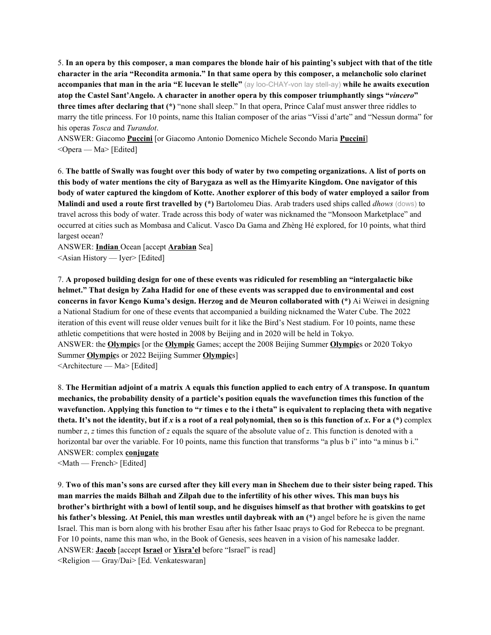5. In an opera by this composer, a man compares the blonde hair of his painting's subject with that of the title character in the aria "Recondita armonia." In that same opera by this composer, a melancholic solo clarinet **accompanies that man in the aria "E lucevan le stelle"** (ay loo-CHAY-von lay stell-ay) **while he awaits execution atop the Castel Sant'Angelo. A character in another opera by this composer triumphantly sings "***vincero***" three times after declaring that (\*)** "none shall sleep." In that opera, Prince Calaf must answer three riddles to marry the title princess. For 10 points, name this Italian composer of the arias "Vissi d'arte" and "Nessun dorma" for his operas *Tosca* and *Turandot*.

ANSWER: Giacomo **Puccini** [or Giacomo Antonio Domenico Michele Secondo Maria **Puccini**] <Opera — Ma> [Edited]

6. The battle of Swally was fought over this body of water by two competing organizations. A list of ports on this body of water mentions the city of Barygaza as well as the Himyarite Kingdom. One navigator of this body of water captured the kingdom of Kotte. Another explorer of this body of water employed a sailor from **Malindi and used a route first travelled by (\*)** Bartolomeu Dias. Arab traders used ships called *dhows* (dows) to travel across this body of water. Trade across this body of water was nicknamed the "Monsoon Marketplace" and occurred at cities such as Mombasa and Calicut. Vasco Da Gama and Zhèng Hé explored, for 10 points, what third largest ocean?

ANSWER: **Indian** Ocean [accept **Arabian** Sea] <Asian History — Iyer> [Edited]

7. **A proposed building design for one of these events was ridiculed for resembling an "intergalactic bike** helmet." That design by Zaha Hadid for one of these events was scrapped due to environmental and cost **concerns in favor Kengo Kuma's design. Herzog and de Meuron collaborated with (\*)** Ai Weiwei in designing a National Stadium for one of these events that accompanied a building nicknamed the Water Cube. The 2022 iteration of this event will reuse older venues built for it like the Bird's Nest stadium. For 10 points, name these athletic competitions that were hosted in 2008 by Beijing and in 2020 will be held in Tokyo. ANSWER: the **Olympic**s [or the **Olympic** Games; accept the 2008 Beijing Summer **Olympic**s or 2020 Tokyo Summer **Olympic**s or 2022 Beijing Summer **Olympic**s] <Architecture — Ma> [Edited]

8. The Hermitian adjoint of a matrix A equals this function applied to each entry of A transpose. In quantum **mechanics, the probability density of a particle's position equals the wavefunction times this function of the** wavefunction. Applying this function to "r times e to the i theta" is equivalent to replacing theta with negative theta. It's not the identity, but if x is a root of a real polynomial, then so is this function of x. For a  $(*)$  complex number *z*, *z* times this function of *z* equals the square of the absolute value of *z*. This function is denoted with a horizontal bar over the variable. For 10 points, name this function that transforms "a plus b i" into "a minus b i." ANSWER: complex **conjugate**

<Math — French> [Edited]

9. Two of this man's sons are cursed after they kill every man in Shechem due to their sister being raped. This man marries the maids Bilhah and Zilpah due to the infertility of his other wives. This man buys his brother's birthright with a bowl of lentil soup, and he disguises himself as that brother with goatskins to get **his father's blessing. At Peniel, this man wrestles until daybreak with an (\*)** angel before he is given the name Israel. This man is born along with his brother Esau after his father Isaac prays to God for Rebecca to be pregnant. For 10 points, name this man who, in the Book of Genesis, sees heaven in a vision of his namesake ladder. ANSWER: **Jacob** [accept **Israel** or **Yisra'el** before "Israel" is read]

<Religion — Gray/Dai> [Ed. Venkateswaran]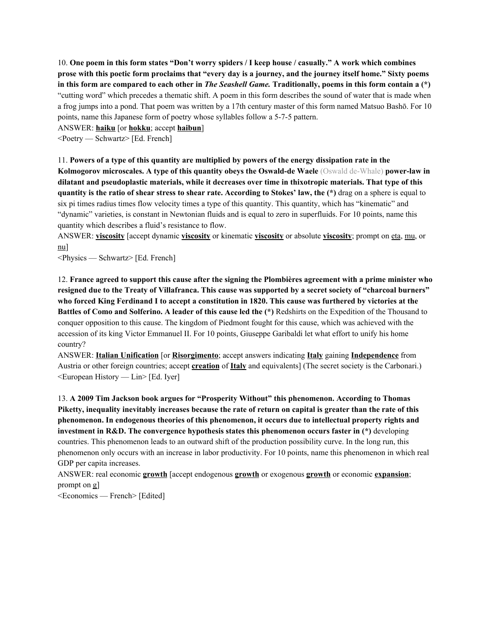10. One poem in this form states "Don't worry spiders / I keep house / casually." A work which combines prose with this poetic form proclaims that "every day is a journey, and the journey itself home." Sixty poems in this form are compared to each other in *The Seashell Game*. Traditionally, poems in this form contain a  $(*)$ "cutting word" which precedes a thematic shift. A poem in this form describes the sound of water that is made when a frog jumps into a pond. That poem was written by a 17th century master of this form named Matsuo Bashō. For 10 points, name this Japanese form of poetry whose syllables follow a 5-7-5 pattern.

ANSWER: **haiku** [or **hokku**; accept **haibun**]

<Poetry — Schwartz> [Ed. French]

11. Powers of a type of this quantity are multiplied by powers of the energy dissipation rate in the **Kolmogorov microscales. A type of this quantity obeys the Oswald-de Waele** (Oswald de-Whale) **power-law in dilatant and pseudoplastic materials, while it decreases over time in thixotropic materials. That type of this** quantity is the ratio of shear stress to shear rate. According to Stokes' law, the (\*) drag on a sphere is equal to six pi times radius times flow velocity times a type of this quantity. This quantity, which has "kinematic" and "dynamic" varieties, is constant in Newtonian fluids and is equal to zero in superfluids. For 10 points, name this quantity which describes a fluid's resistance to flow.

ANSWER: **viscosity** [accept dynamic **viscosity** or kinematic **viscosity** or absolute **viscosity**; prompt on eta, mu, or nu]

<Physics — Schwartz> [Ed. French]

12. France agreed to support this cause after the signing the Plombières agreement with a prime minister who resigned due to the Treaty of Villafranca. This cause was supported by a secret society of "charcoal burners" who forced King Ferdinand I to accept a constitution in 1820. This cause was furthered by victories at the **Battles of Como and Solferino. A leader of this cause led the (\*)** Redshirts on the Expedition of the Thousand to conquer opposition to this cause. The kingdom of Piedmont fought for this cause, which was achieved with the accession of its king Victor Emmanuel II. For 10 points, Giuseppe Garibaldi let what effort to unify his home country?

ANSWER: **Italian Unification** [or **Risorgimento**; accept answers indicating **Italy** gaining **Independence** from Austria or other foreign countries; accept **creation** of **Italy** and equivalents] (The secret society is the Carbonari.) <European History — Lin> [Ed. Iyer]

13. **A 2009 Tim Jackson book argues for "Prosperity Without" this phenomenon. According to Thomas** Piketty, inequality inevitably increases because the rate of return on capital is greater than the rate of this **phenomenon. In endogenous theories of this phenomenon, it occurs due to intellectual property rights and investment in R&D. The convergence hypothesis states this phenomenon occurs faster in (\*)** developing countries. This phenomenon leads to an outward shift of the production possibility curve. In the long run, this phenomenon only occurs with an increase in labor productivity. For 10 points, name this phenomenon in which real GDP per capita increases.

ANSWER: real economic **growth** [accept endogenous **growth** or exogenous **growth** or economic **expansion**; prompt on g]

<Economics — French> [Edited]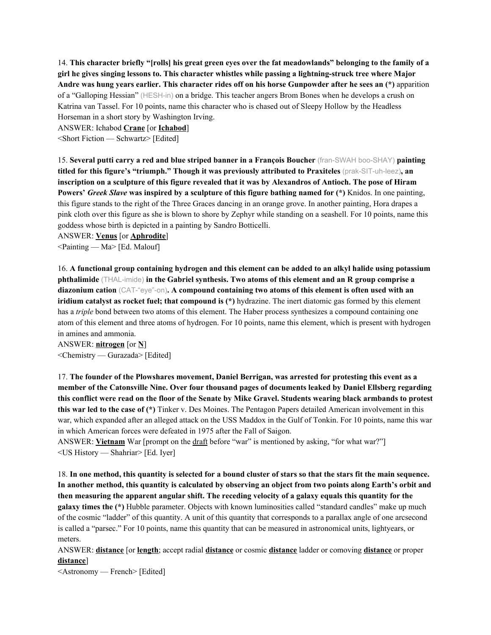14. This character briefly "[rolls] his great green eves over the fat meadowlands" belonging to the family of a **girl he gives singing lessons to. This character whistles while passing a lightning-struck tree where Major** Andre was hung years earlier. This character rides off on his horse Gunpowder after he sees an (\*) apparition of a "Galloping Hessian" (HESH-in) on a bridge. This teacher angers Brom Bones when he develops a crush on Katrina van Tassel. For 10 points, name this character who is chased out of Sleepy Hollow by the Headless Horseman in a short story by Washington Irving.

ANSWER: Ichabod **Crane** [or **Ichabod**]

<Short Fiction — Schwartz> [Edited]

15. **Several putti carry a red and blue striped banner in a François Boucher** (fran-SWAH boo-SHAY) **painting titled for this figure's "triumph." Though it was previously attributed to Praxiteles** (prak-SIT-uh-leez)**, an** inscription on a sculpture of this figure revealed that it was by Alexandros of Antioch. The pose of Hiram **Powers'** *Greek Slave* **was inspired by a sculpture of this figure bathing named for (\*)** Knidos. In one painting, this figure stands to the right of the Three Graces dancing in an orange grove. In another painting, Hora drapes a pink cloth over this figure as she is blown to shore by Zephyr while standing on a seashell. For 10 points, name this goddess whose birth is depicted in a painting by Sandro Botticelli.

ANSWER: **Venus** [or **Aphrodite**]

<Painting — Ma> [Ed. Malouf]

16. A functional group containing hydrogen and this element can be added to an alkyl halide using potassium **phthalimide** (THAL-imide) **in the Gabriel synthesis. Two atoms of this element and an R group comprise a diazonium cation** (CAT-"eye"-on)**. A compound containing two atoms of this element is often used with an iridium catalyst as rocket fuel; that compound is (\*)** hydrazine. The inert diatomic gas formed by this element has a *triple* bond between two atoms of this element. The Haber process synthesizes a compound containing one atom of this element and three atoms of hydrogen. For 10 points, name this element, which is present with hydrogen in amines and ammonia.

ANSWER: **nitrogen** [or **N**] <Chemistry — Gurazada> [Edited]

17. **The founder of the Plowshares movement, Daniel Berrigan, was arrested for protesting this event as a member of the Catonsville Nine. Over four thousand pages of documents leaked by Daniel Ellsberg regarding** this conflict were read on the floor of the Senate by Mike Gravel. Students wearing black armbands to protest **this war led to the case of (\*)** Tinker v. Des Moines. The Pentagon Papers detailed American involvement in this war, which expanded after an alleged attack on the USS Maddox in the Gulf of Tonkin. For 10 points, name this war in which American forces were defeated in 1975 after the Fall of Saigon.

ANSWER: **Vietnam** War [prompt on the draft before "war" is mentioned by asking, "for what war?"] <US History — Shahriar> [Ed. Iyer]

18. In one method, this quantity is selected for a bound cluster of stars so that the stars fit the main sequence. In another method, this quantity is calculated by observing an object from two points along Earth's orbit and **then measuring the apparent angular shift. The receding velocity of a galaxy equals this quantity for the galaxy times the (\*)** Hubble parameter. Objects with known luminosities called "standard candles" make up much of the cosmic "ladder" of this quantity. A unit of this quantity that corresponds to a parallax angle of one arcsecond is called a "parsec." For 10 points, name this quantity that can be measured in astronomical units, lightyears, or meters.

ANSWER: **distance** [or **length**; accept radial **distance** or cosmic **distance** ladder or comoving **distance** or proper **distance**]

<Astronomy — French> [Edited]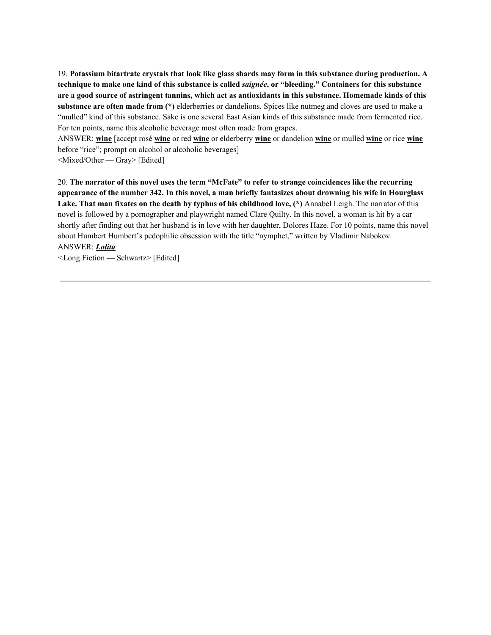19. **Potassium bitartrate crystals that look like glass shards may form in this substance during production. A** technique to make one kind of this substance is called *saignée*, or "bleeding." Containers for this substance are a good source of astringent tannins, which act as antioxidants in this substance. Homemade kinds of this **substance are often made from (\*)** elderberries or dandelions. Spices like nutmeg and cloves are used to make a "mulled" kind of this substance. Sake is one several East Asian kinds of this substance made from fermented rice. For ten points, name this alcoholic beverage most often made from grapes.

ANSWER: **wine** [accept rosé **wine** or red **wine** or elderberry **wine** or dandelion **wine** or mulled **wine** or rice **wine** before "rice"; prompt on alcohol or alcoholic beverages]

<Mixed/Other — Gray> [Edited]

20. **The narrator of this novel uses the term "McFate" to refer to strange coincidences like the recurring** appearance of the number 342. In this novel, a man briefly fantasizes about drowning his wife in Hourglass **Lake. That man fixates on the death by typhus of his childhood love, (\*)** Annabel Leigh. The narrator of this novel is followed by a pornographer and playwright named Clare Quilty. In this novel, a woman is hit by a car shortly after finding out that her husband is in love with her daughter, Dolores Haze. For 10 points, name this novel about Humbert Humbert's pedophilic obsession with the title "nymphet," written by Vladimir Nabokov. ANSWER: *Lolita*

*<*Long Fiction — Schwartz> [Edited]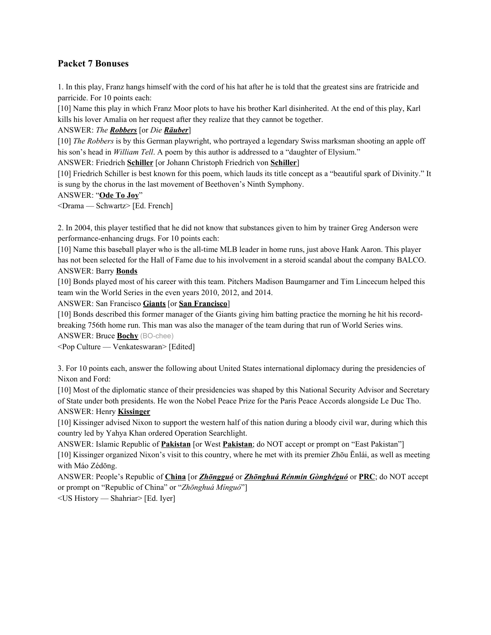# **Packet 7 Bonuses**

1. In this play, Franz hangs himself with the cord of his hat after he is told that the greatest sins are fratricide and parricide. For 10 points each:

[10] Name this play in which Franz Moor plots to have his brother Karl disinherited. At the end of this play, Karl kills his lover Amalia on her request after they realize that they cannot be together.

### ANSWER: *The Robbers* [or *Die Räuber*]

[10] *The Robbers* is by this German playwright, who portrayed a legendary Swiss marksman shooting an apple off his son's head in *William Tell*. A poem by this author is addressed to a "daughter of Elysium."

ANSWER: Friedrich **Schiller** [or Johann Christoph Friedrich von **Schiller**]

[10] Friedrich Schiller is best known for this poem, which lauds its title concept as a "beautiful spark of Divinity." It is sung by the chorus in the last movement of Beethoven's Ninth Symphony.

# ANSWER: "**Ode To Joy**"

<Drama — Schwartz> [Ed. French]

2. In 2004, this player testified that he did not know that substances given to him by trainer Greg Anderson were performance-enhancing drugs. For 10 points each:

[10] Name this baseball player who is the all-time MLB leader in home runs, just above Hank Aaron. This player has not been selected for the Hall of Fame due to his involvement in a steroid scandal about the company BALCO. ANSWER: Barry **Bonds**

[10] Bonds played most of his career with this team. Pitchers Madison Baumgarner and Tim Lincecum helped this team win the World Series in the even years 2010, 2012, and 2014.

ANSWER: San Francisco **Giants** [or **San Francisco**]

[10] Bonds described this former manager of the Giants giving him batting practice the morning he hit his recordbreaking 756th home run. This man was also the manager of the team during that run of World Series wins.

ANSWER: Bruce **Bochy** (BO-chee)

<Pop Culture — Venkateswaran> [Edited]

3. For 10 points each, answer the following about United States international diplomacy during the presidencies of Nixon and Ford:

[10] Most of the diplomatic stance of their presidencies was shaped by this National Security Advisor and Secretary of State under both presidents. He won the Nobel Peace Prize for the Paris Peace Accords alongside Le Duc Tho. ANSWER: Henry **Kissinger**

[10] Kissinger advised Nixon to support the western half of this nation during a bloody civil war, during which this country led by Yahya Khan ordered Operation Searchlight.

ANSWER: Islamic Republic of **Pakistan** [or West **Pakistan**; do NOT accept or prompt on "East Pakistan"] [10] Kissinger organized Nixon's visit to this country, where he met with its premier Zhōu Ēnlái, as well as meeting with Máo Zédōng.

ANSWER: People's Republic of **China** [or *Zhōngguó* or *Zhōnghuá Rénmín Gònghéguó* or **PRC**; do NOT accept or prompt on "Republic of China" or "*Zhōnghuá Mínguó*"]

<US History — Shahriar> [Ed. Iyer]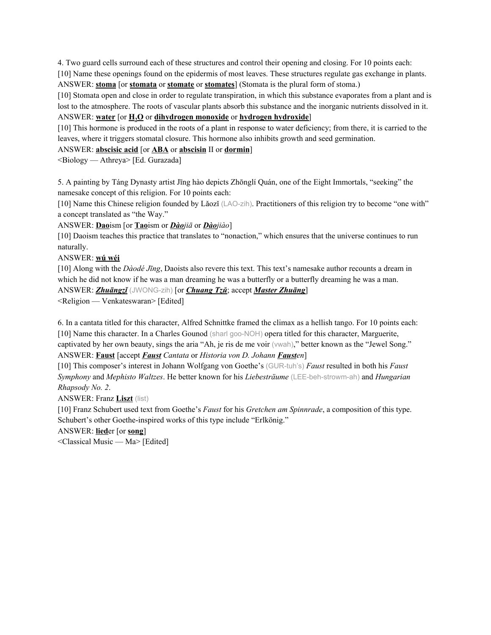4. Two guard cells surround each of these structures and control their opening and closing. For 10 points each:

[10] Name these openings found on the epidermis of most leaves. These structures regulate gas exchange in plants. ANSWER: **stoma** [or **stomata** or **stomate** or **stomates**] (Stomata is the plural form of stoma.)

[10] Stomata open and close in order to regulate transpiration, in which this substance evaporates from a plant and is

lost to the atmosphere. The roots of vascular plants absorb this substance and the inorganic nutrients dissolved in it. ANSWER: **water** [or **H2O** or **dihydrogen monoxide** or **hydrogen hydroxide**]

[10] This hormone is produced in the roots of a plant in response to water deficiency; from there, it is carried to the leaves, where it triggers stomatal closure. This hormone also inhibits growth and seed germination.

ANSWER: **abscisic acid** [or **ABA** or **abscisin** II or **dormin**]

<Biology — Athreya> [Ed. Gurazada]

5. A painting by Táng Dynasty artist Jīng hào depicts Zhōnglí Quán, one of the Eight Immortals, "seeking" the namesake concept of this religion. For 10 points each:

[10] Name this Chinese religion founded by Lǎozǐ (LAO-zih). Practitioners of this religion try to become "one with" a concept translated as "the Way."

ANSWER: **Dao**ism [or **Tao**ism or *Dàojiā* or *Dàojiào*]

[10] Daoism teaches this practice that translates to "nonaction," which ensures that the universe continues to run naturally.

ANSWER: **wú wéi**

[10] Along with the *Dàodé Jīng*, Daoists also revere this text. This text's namesake author recounts a dream in which he did not know if he was a man dreaming he was a butterfly or a butterfly dreaming he was a man. ANSWER: *Zhuāngzǐ* (JWONG-zih) [or *Chuang Tzŭ*; accept *Master Zhuāng*]

<Religion — Venkateswaran> [Edited]

6. In a cantata titled for this character, Alfred Schnittke framed the climax as a hellish tango. For 10 points each: [10] Name this character. In a Charles Gounod (sharl goo-NOH) opera titled for this character, Marguerite, captivated by her own beauty, sings the aria "Ah, je ris de me voir (vwah)," better known as the "Jewel Song." ANSWER: **Faust** [accept *Faust Cantata* or *Historia von D. Johann Fausten*]

[10] This composer's interest in Johann Wolfgang von Goethe's (GUR-tuh's) *Faust* resulted in both his *Faust Symphony* and *Mephisto Waltzes*. He better known for his *Liebesträume* (LEE-beh-strowm-ah) and *Hungarian Rhapsody No. 2*.

ANSWER: Franz **Liszt** (list)

[10] Franz Schubert used text from Goethe's *Faust* for his *Gretchen am Spinnrade*, a composition of this type. Schubert's other Goethe-inspired works of this type include "Erlkönig."

# ANSWER: **lied**er [or **song**]

<Classical Music — Ma> [Edited]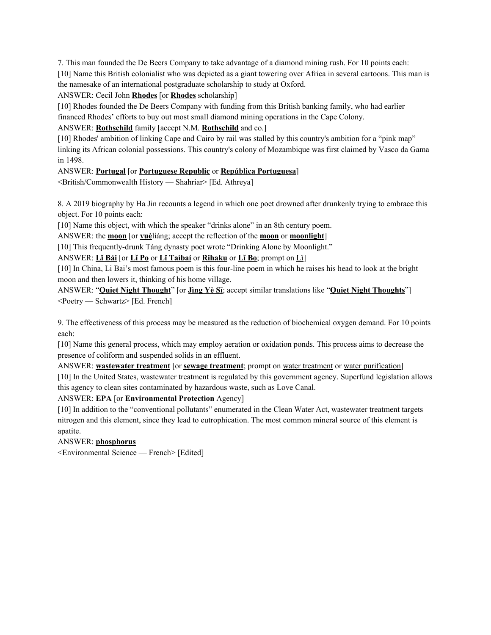7. This man founded the De Beers Company to take advantage of a diamond mining rush. For 10 points each: [10] Name this British colonialist who was depicted as a giant towering over Africa in several cartoons. This man is the namesake of an international postgraduate scholarship to study at Oxford.

# ANSWER: Cecil John **Rhodes** [or **Rhodes** scholarship]

[10] Rhodes founded the De Beers Company with funding from this British banking family, who had earlier financed Rhodes' efforts to buy out most small diamond mining operations in the Cape Colony.

# ANSWER: **Rothschild** family [accept N.M. **Rothschild** and co.]

[10] Rhodes' ambition of linking Cape and Cairo by rail was stalled by this country's ambition for a "pink map" linking its African colonial possessions. This country's colony of Mozambique was first claimed by Vasco da Gama in 1498.

# ANSWER: **Portugal** [or **Portuguese Republic** or **República Portuguesa**]

<British/Commonwealth History — Shahriar> [Ed. Athreya]

8. A 2019 biography by Ha Jin recounts a legend in which one poet drowned after drunkenly trying to embrace this object. For 10 points each:

[10] Name this object, with which the speaker "drinks alone" in an 8th century poem.

ANSWER: the **moon** [or **yuè**liàng; accept the reflection of the **moon** or **moonlight**]

[10] This frequently-drunk Táng dynasty poet wrote "Drinking Alone by Moonlight."

ANSWER: **Lǐ Bái** [or **Lǐ Po** or **Lǐ Taìbaí** or **Rihaku** or **Lǐ Bo**; prompt on Lǐ]

[10] In China, Li Bai's most famous poem is this four-line poem in which he raises his head to look at the bright moon and then lowers it, thinking of his home village.

ANSWER: "**Quiet Night Thought**" [or **Jìng Yè Sī**; accept similar translations like "**Quiet Night Thoughts**"] <Poetry — Schwartz> [Ed. French]

9. The effectiveness of this process may be measured as the reduction of biochemical oxygen demand. For 10 points each:

[10] Name this general process, which may employ aeration or oxidation ponds. This process aims to decrease the presence of coliform and suspended solids in an effluent.

ANSWER: **wastewater treatment** [or **sewage treatment**; prompt on water treatment or water purification] [10] In the United States, wastewater treatment is regulated by this government agency. Superfund legislation allows this agency to clean sites contaminated by hazardous waste, such as Love Canal.

ANSWER: **EPA** [or **Environmental Protection** Agency]

[10] In addition to the "conventional pollutants" enumerated in the Clean Water Act, wastewater treatment targets nitrogen and this element, since they lead to eutrophication. The most common mineral source of this element is apatite.

# ANSWER: **phosphorus**

<Environmental Science — French> [Edited]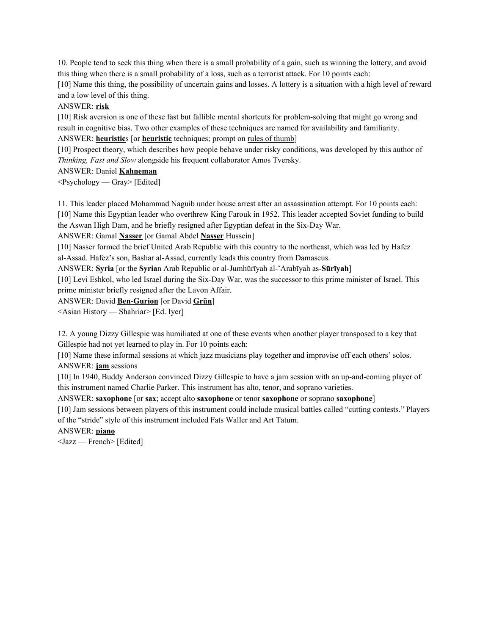10. People tend to seek this thing when there is a small probability of a gain, such as winning the lottery, and avoid this thing when there is a small probability of a loss, such as a terrorist attack. For 10 points each:

[10] Name this thing, the possibility of uncertain gains and losses. A lottery is a situation with a high level of reward and a low level of this thing.

#### ANSWER: **risk**

[10] Risk aversion is one of these fast but fallible mental shortcuts for problem-solving that might go wrong and result in cognitive bias. Two other examples of these techniques are named for availability and familiarity. ANSWER: **heuristic**s [or **heuristic** techniques; prompt on rules of thumb]

[10] Prospect theory, which describes how people behave under risky conditions, was developed by this author of *Thinking, Fast and Slow* alongside his frequent collaborator Amos Tversky.

#### ANSWER: Daniel **Kahneman**

 $\langle$ Psychology — Gray> [Edited]

11. This leader placed Mohammad Naguib under house arrest after an assassination attempt. For 10 points each:

[10] Name this Egyptian leader who overthrew King Farouk in 1952. This leader accepted Soviet funding to build the Aswan High Dam, and he briefly resigned after Egyptian defeat in the Six-Day War.

ANSWER: Gamal **Nasser** [or Gamal Abdel **Nasser** Hussein]

[10] Nasser formed the brief United Arab Republic with this country to the northeast, which was led by Hafez al-Assad. Hafez's son, Bashar al-Assad, currently leads this country from Damascus.

ANSWER: **Syria** [or the **Syria**n Arab Republic or al-Jumhūrīyah al-ʻArabīyah as-**Sūrīyah**]

[10] Levi Eshkol, who led Israel during the Six-Day War, was the successor to this prime minister of Israel. This prime minister briefly resigned after the Lavon Affair.

ANSWER: David **Ben-Gurion** [or David **Grün**]

<Asian History — Shahriar> [Ed. Iyer]

12. A young Dizzy Gillespie was humiliated at one of these events when another player transposed to a key that Gillespie had not yet learned to play in. For 10 points each:

[10] Name these informal sessions at which jazz musicians play together and improvise off each others' solos. ANSWER: **jam** sessions

[10] In 1940, Buddy Anderson convinced Dizzy Gillespie to have a jam session with an up-and-coming player of this instrument named Charlie Parker. This instrument has alto, tenor, and soprano varieties.

ANSWER: **saxophone** [or **sax**; accept alto **saxophone** or tenor **saxophone** or soprano **saxophone**]

[10] Jam sessions between players of this instrument could include musical battles called "cutting contests." Players of the "stride" style of this instrument included Fats Waller and Art Tatum.

ANSWER: **piano**

<Jazz — French> [Edited]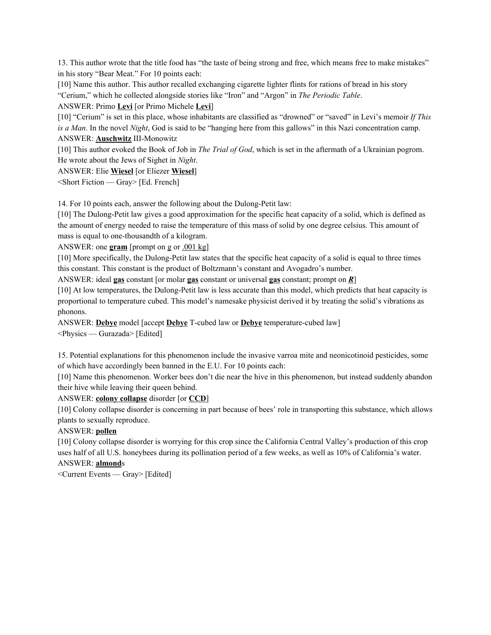13. This author wrote that the title food has "the taste of being strong and free, which means free to make mistakes" in his story "Bear Meat." For 10 points each:

[10] Name this author. This author recalled exchanging cigarette lighter flints for rations of bread in his story "Cerium," which he collected alongside stories like "Iron" and "Argon" in *The Periodic Table*.

ANSWER: Primo **Levi** [or Primo Michele **Levi**]

[10] "Cerium" is set in this place, whose inhabitants are classified as "drowned" or "saved" in Levi's memoir *If This is a Man*. In the novel *Night*, God is said to be "hanging here from this gallows" in this Nazi concentration camp. ANSWER: **Auschwitz** III-Monowitz

[10] This author evoked the Book of Job in *The Trial of God*, which is set in the aftermath of a Ukrainian pogrom. He wrote about the Jews of Sighet in *Night*.

ANSWER: Elie **Wiesel** [or Eliezer **Wiesel**]

 $\le$ Short Fiction — Gray> [Ed. French]

14. For 10 points each, answer the following about the Dulong-Petit law:

[10] The Dulong-Petit law gives a good approximation for the specific heat capacity of a solid, which is defined as the amount of energy needed to raise the temperature of this mass of solid by one degree celsius. This amount of mass is equal to one-thousandth of a kilogram.

ANSWER: one **gram** [prompt on g or .001 kg]

[10] More specifically, the Dulong-Petit law states that the specific heat capacity of a solid is equal to three times this constant. This constant is the product of Boltzmann's constant and Avogadro's number.

ANSWER: ideal **gas** constant [or molar **gas** constant or universal **gas** constant; prompt on *R*]

[10] At low temperatures, the Dulong-Petit law is less accurate than this model, which predicts that heat capacity is proportional to temperature cubed. This model's namesake physicist derived it by treating the solid's vibrations as phonons.

ANSWER: **Debye** model [accept **Debye** T-cubed law or **Debye** temperature-cubed law] <Physics — Gurazada> [Edited]

15. Potential explanations for this phenomenon include the invasive varroa mite and neonicotinoid pesticides, some of which have accordingly been banned in the E.U. For 10 points each:

[10] Name this phenomenon. Worker bees don't die near the hive in this phenomenon, but instead suddenly abandon their hive while leaving their queen behind.

ANSWER: **colony collapse** disorder [or **CCD**]

[10] Colony collapse disorder is concerning in part because of bees' role in transporting this substance, which allows plants to sexually reproduce.

# ANSWER: **pollen**

[10] Colony collapse disorder is worrying for this crop since the California Central Valley's production of this crop uses half of all U.S. honeybees during its pollination period of a few weeks, as well as 10% of California's water. ANSWER: **almond**s

<Current Events — Gray> [Edited]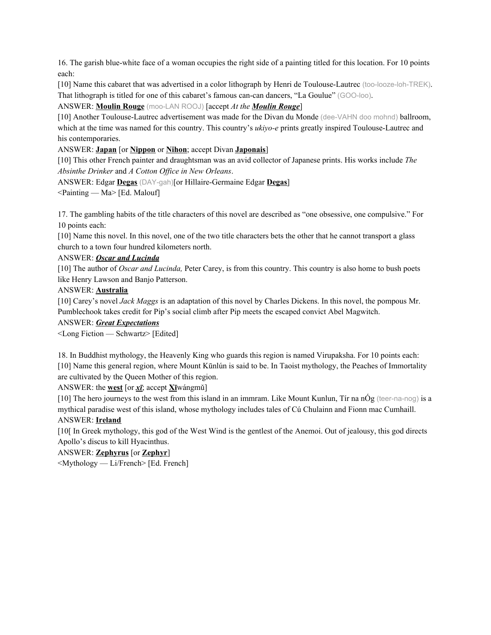16. The garish blue-white face of a woman occupies the right side of a painting titled for this location. For 10 points each:

[10] Name this cabaret that was advertised in a color lithograph by Henri de Toulouse-Lautrec (too-looze-loh-TREK). That lithograph is titled for one of this cabaret's famous can-can dancers, "La Goulue" (GOO-loo).

# ANSWER: **Moulin Rouge** (moo-LAN ROOJ) [accept *At the Moulin Rouge*]

[10] Another Toulouse-Lautrec advertisement was made for the Divan du Monde (dee-VAHN doo mohnd) ballroom, which at the time was named for this country. This country's *ukiyo-e* prints greatly inspired Toulouse-Lautrec and his contemporaries.

### ANSWER: **Japan** [or **Nippon** or **Nihon**; accept Divan **Japonais**]

[10] This other French painter and draughtsman was an avid collector of Japanese prints. His works include *The Absinthe Drinker* and *A Cotton Of ice in New Orleans*.

ANSWER: Edgar **Degas** (DAY-gah)[or Hillaire-Germaine Edgar **Degas**]

 $\leq$ Painting — Ma $\geq$  [Ed. Malouf]

17. The gambling habits of the title characters of this novel are described as "one obsessive, one compulsive." For 10 points each:

[10] Name this novel. In this novel, one of the two title characters bets the other that he cannot transport a glass church to a town four hundred kilometers north.

#### ANSWER: *Oscar and Lucinda*

[10] The author of *Oscar and Lucinda,* Peter Carey, is from this country. This country is also home to bush poets like Henry Lawson and Banjo Patterson.

#### ANSWER: **Australia**

[10] Carey's novel *Jack Maggs* is an adaptation of this novel by Charles Dickens. In this novel, the pompous Mr. Pumblechook takes credit for Pip's social climb after Pip meets the escaped convict Abel Magwitch.

#### ANSWER: *Great Expectations*

<Long Fiction — Schwartz> [Edited]

18. In Buddhist mythology, the Heavenly King who guards this region is named Virupaksha. For 10 points each: [10] Name this general region, where Mount Kūnlún is said to be. In Taoist mythology, the Peaches of Immortality are cultivated by the Queen Mother of this region.

ANSWER: the **west** [or *xī*; accept **Xī**wángmǔ]

[10] The hero journeys to the west from this island in an immram. Like Mount Kunlun, Tír na nÓg (teer-na-nog) is a mythical paradise west of this island, whose mythology includes tales of Cú Chulainn and Fionn mac Cumhaill. ANSWER: **Ireland**

[10[ In Greek mythology, this god of the West Wind is the gentlest of the Anemoi. Out of jealousy, this god directs Apollo's discus to kill Hyacinthus.

# ANSWER: **Zephyrus** [or **Zephyr**]

<Mythology — Li/French> [Ed. French]